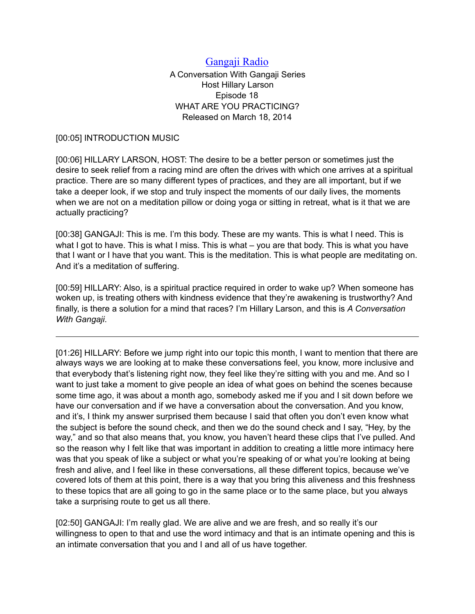## [Gangaji Radio](https://gangaji.org/podcast-library/)

A Conversation With Gangaji Series Host Hillary Larson Episode 18 WHAT ARE YOU PRACTICING? Released on March 18, 2014

## [00:05] INTRODUCTION MUSIC

[00:06] HILLARY LARSON, HOST: The desire to be a better person or sometimes just the desire to seek relief from a racing mind are often the drives with which one arrives at a spiritual practice. There are so many different types of practices, and they are all important, but if we take a deeper look, if we stop and truly inspect the moments of our daily lives, the moments when we are not on a meditation pillow or doing yoga or sitting in retreat, what is it that we are actually practicing?

[00:38] GANGAJI: This is me. I'm this body. These are my wants. This is what I need. This is what I got to have. This is what I miss. This is what – you are that body. This is what you have that I want or I have that you want. This is the meditation. This is what people are meditating on. And it's a meditation of suffering.

[00:59] HILLARY: Also, is a spiritual practice required in order to wake up? When someone has woken up, is treating others with kindness evidence that they're awakening is trustworthy? And finally, is there a solution for a mind that races? I'm Hillary Larson, and this is *A Conversation With Gangaji*.

[01:26] HILLARY: Before we jump right into our topic this month, I want to mention that there are always ways we are looking at to make these conversations feel, you know, more inclusive and that everybody that's listening right now, they feel like they're sitting with you and me. And so I want to just take a moment to give people an idea of what goes on behind the scenes because some time ago, it was about a month ago, somebody asked me if you and I sit down before we have our conversation and if we have a conversation about the conversation. And you know, and it's, I think my answer surprised them because I said that often you don't even know what the subject is before the sound check, and then we do the sound check and I say, "Hey, by the way," and so that also means that, you know, you haven't heard these clips that I've pulled. And so the reason why I felt like that was important in addition to creating a little more intimacy here was that you speak of like a subject or what you're speaking of or what you're looking at being fresh and alive, and I feel like in these conversations, all these different topics, because we've covered lots of them at this point, there is a way that you bring this aliveness and this freshness to these topics that are all going to go in the same place or to the same place, but you always take a surprising route to get us all there.

[02:50] GANGAJI: I'm really glad. We are alive and we are fresh, and so really it's our willingness to open to that and use the word intimacy and that is an intimate opening and this is an intimate conversation that you and I and all of us have together.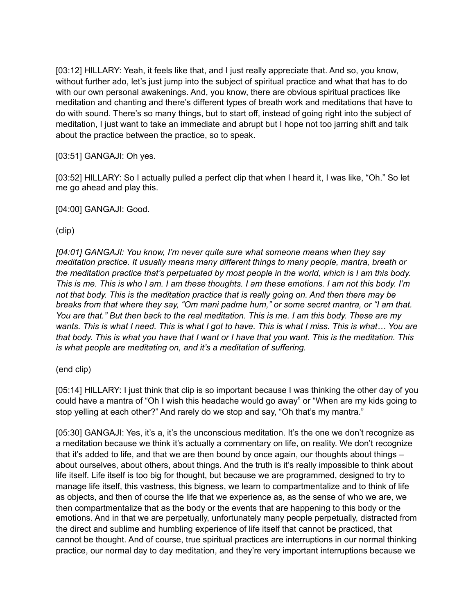[03:12] HILLARY: Yeah, it feels like that, and I just really appreciate that. And so, you know, without further ado, let's just jump into the subject of spiritual practice and what that has to do with our own personal awakenings. And, you know, there are obvious spiritual practices like meditation and chanting and there's different types of breath work and meditations that have to do with sound. There's so many things, but to start off, instead of going right into the subject of meditation, I just want to take an immediate and abrupt but I hope not too jarring shift and talk about the practice between the practice, so to speak.

[03:51] GANGAJI: Oh yes.

[03:52] HILLARY: So I actually pulled a perfect clip that when I heard it, I was like, "Oh." So let me go ahead and play this.

[04:00] GANGAJI: Good.

(clip)

*[04:01] GANGAJI: You know, I'm never quite sure what someone means when they say meditation practice. It usually means many different things to many people, mantra, breath or the meditation practice that's perpetuated by most people in the world, which is I am this body. This is me. This is who I am. I am these thoughts. I am these emotions. I am not this body. I'm not that body. This is the meditation practice that is really going on. And then there may be breaks from that where they say, "Om mani padme hum," or some secret mantra, or "I am that. You are that." But then back to the real meditation. This is me. I am this body. These are my wants. This is what I need. This is what I got to have. This is what I miss. This is what… You are that body. This is what you have that I want or I have that you want. This is the meditation. This is what people are meditating on, and it's a meditation of suffering.* 

(end clip)

[05:14] HILLARY: I just think that clip is so important because I was thinking the other day of you could have a mantra of "Oh I wish this headache would go away" or "When are my kids going to stop yelling at each other?" And rarely do we stop and say, "Oh that's my mantra."

[05:30] GANGAJI: Yes, it's a, it's the unconscious meditation. It's the one we don't recognize as a meditation because we think it's actually a commentary on life, on reality. We don't recognize that it's added to life, and that we are then bound by once again, our thoughts about things – about ourselves, about others, about things. And the truth is it's really impossible to think about life itself. Life itself is too big for thought, but because we are programmed, designed to try to manage life itself, this vastness, this bigness, we learn to compartmentalize and to think of life as objects, and then of course the life that we experience as, as the sense of who we are, we then compartmentalize that as the body or the events that are happening to this body or the emotions. And in that we are perpetually, unfortunately many people perpetually, distracted from the direct and sublime and humbling experience of life itself that cannot be practiced, that cannot be thought. And of course, true spiritual practices are interruptions in our normal thinking practice, our normal day to day meditation, and they're very important interruptions because we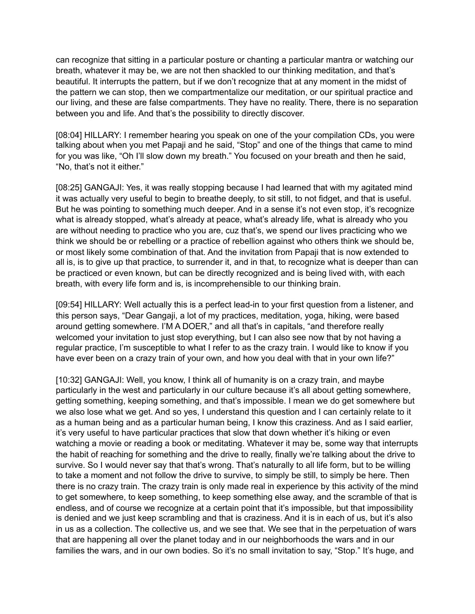can recognize that sitting in a particular posture or chanting a particular mantra or watching our breath, whatever it may be, we are not then shackled to our thinking meditation, and that's beautiful. It interrupts the pattern, but if we don't recognize that at any moment in the midst of the pattern we can stop, then we compartmentalize our meditation, or our spiritual practice and our living, and these are false compartments. They have no reality. There, there is no separation between you and life. And that's the possibility to directly discover.

[08:04] HILLARY: I remember hearing you speak on one of the your compilation CDs, you were talking about when you met Papaji and he said, "Stop" and one of the things that came to mind for you was like, "Oh I'll slow down my breath." You focused on your breath and then he said, "No, that's not it either."

[08:25] GANGAJI: Yes, it was really stopping because I had learned that with my agitated mind it was actually very useful to begin to breathe deeply, to sit still, to not fidget, and that is useful. But he was pointing to something much deeper. And in a sense it's not even stop, it's recognize what is already stopped, what's already at peace, what's already life, what is already who you are without needing to practice who you are, cuz that's, we spend our lives practicing who we think we should be or rebelling or a practice of rebellion against who others think we should be, or most likely some combination of that. And the invitation from Papaji that is now extended to all is, is to give up that practice, to surrender it, and in that, to recognize what is deeper than can be practiced or even known, but can be directly recognized and is being lived with, with each breath, with every life form and is, is incomprehensible to our thinking brain.

[09:54] HILLARY: Well actually this is a perfect lead-in to your first question from a listener, and this person says, "Dear Gangaji, a lot of my practices, meditation, yoga, hiking, were based around getting somewhere. I'M A DOER," and all that's in capitals, "and therefore really welcomed your invitation to just stop everything, but I can also see now that by not having a regular practice, I'm susceptible to what I refer to as the crazy train. I would like to know if you have ever been on a crazy train of your own, and how you deal with that in your own life?"

[10:32] GANGAJI: Well, you know, I think all of humanity is on a crazy train, and maybe particularly in the west and particularly in our culture because it's all about getting somewhere, getting something, keeping something, and that's impossible. I mean we do get somewhere but we also lose what we get. And so yes, I understand this question and I can certainly relate to it as a human being and as a particular human being, I know this craziness. And as I said earlier, it's very useful to have particular practices that slow that down whether it's hiking or even watching a movie or reading a book or meditating. Whatever it may be, some way that interrupts the habit of reaching for something and the drive to really, finally we're talking about the drive to survive. So I would never say that that's wrong. That's naturally to all life form, but to be willing to take a moment and not follow the drive to survive, to simply be still, to simply be here. Then there is no crazy train. The crazy train is only made real in experience by this activity of the mind to get somewhere, to keep something, to keep something else away, and the scramble of that is endless, and of course we recognize at a certain point that it's impossible, but that impossibility is denied and we just keep scrambling and that is craziness. And it is in each of us, but it's also in us as a collection. The collective us, and we see that. We see that in the perpetuation of wars that are happening all over the planet today and in our neighborhoods the wars and in our families the wars, and in our own bodies. So it's no small invitation to say, "Stop." It's huge, and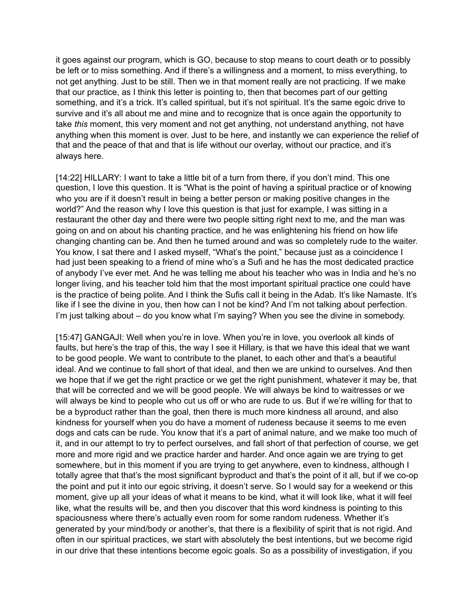it goes against our program, which is GO, because to stop means to court death or to possibly be left or to miss something. And if there's a willingness and a moment, to miss everything, to not get anything. Just to be still. Then we in that moment really are not practicing. If we make that our practice, as I think this letter is pointing to, then that becomes part of our getting something, and it's a trick. It's called spiritual, but it's not spiritual. It's the same egoic drive to survive and it's all about me and mine and to recognize that is once again the opportunity to take *this* moment, this very moment and not get anything, not understand anything, not have anything when this moment is over. Just to be here, and instantly we can experience the relief of that and the peace of that and that is life without our overlay, without our practice, and it's always here.

[14:22] HILLARY: I want to take a little bit of a turn from there, if you don't mind. This one question, I love this question. It is "What is the point of having a spiritual practice or of knowing who you are if it doesn't result in being a better person or making positive changes in the world?" And the reason why I love this question is that just for example, I was sitting in a restaurant the other day and there were two people sitting right next to me, and the man was going on and on about his chanting practice, and he was enlightening his friend on how life changing chanting can be. And then he turned around and was so completely rude to the waiter. You know, I sat there and I asked myself, "What's the point," because just as a coincidence I had just been speaking to a friend of mine who's a Sufi and he has the most dedicated practice of anybody I've ever met. And he was telling me about his teacher who was in India and he's no longer living, and his teacher told him that the most important spiritual practice one could have is the practice of being polite. And I think the Sufis call it being in the Adab. It's like Namaste. It's like if I see the divine in you, then how can I not be kind? And I'm not talking about perfection. I'm just talking about – do you know what I'm saying? When you see the divine in somebody.

[15:47] GANGAJI: Well when you're in love. When you're in love, you overlook all kinds of faults, but here's the trap of this, the way I see it Hillary, is that we have this ideal that we want to be good people. We want to contribute to the planet, to each other and that's a beautiful ideal. And we continue to fall short of that ideal, and then we are unkind to ourselves. And then we hope that if we get the right practice or we get the right punishment, whatever it may be, that that will be corrected and we will be good people. We will always be kind to waitresses or we will always be kind to people who cut us off or who are rude to us. But if we're willing for that to be a byproduct rather than the goal, then there is much more kindness all around, and also kindness for yourself when you do have a moment of rudeness because it seems to me even dogs and cats can be rude. You know that it's a part of animal nature, and we make too much of it, and in our attempt to try to perfect ourselves, and fall short of that perfection of course, we get more and more rigid and we practice harder and harder. And once again we are trying to get somewhere, but in this moment if you are trying to get anywhere, even to kindness, although I totally agree that that's the most significant byproduct and that's the point of it all, but if we co-op the point and put it into our egoic striving, it doesn't serve. So I would say for a weekend or this moment, give up all your ideas of what it means to be kind, what it will look like, what it will feel like, what the results will be, and then you discover that this word kindness is pointing to this spaciousness where there's actually even room for some random rudeness. Whether it's generated by your mind/body or another's, that there is a flexibility of spirit that is not rigid. And often in our spiritual practices, we start with absolutely the best intentions, but we become rigid in our drive that these intentions become egoic goals. So as a possibility of investigation, if you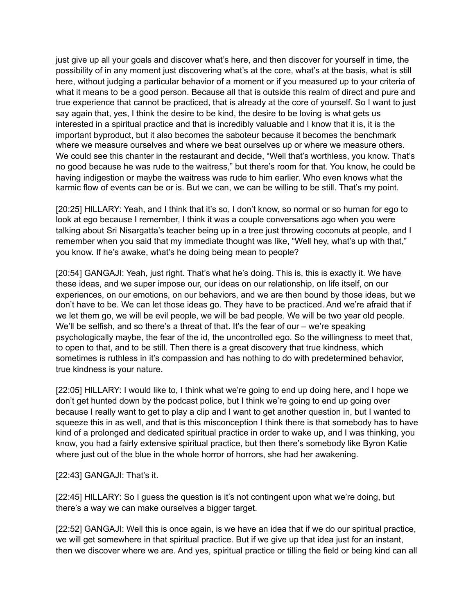just give up all your goals and discover what's here, and then discover for yourself in time, the possibility of in any moment just discovering what's at the core, what's at the basis, what is still here, without judging a particular behavior of a moment or if you measured up to your criteria of what it means to be a good person. Because all that is outside this realm of direct and pure and true experience that cannot be practiced, that is already at the core of yourself. So I want to just say again that, yes, I think the desire to be kind, the desire to be loving is what gets us interested in a spiritual practice and that is incredibly valuable and I know that it is, it is the important byproduct, but it also becomes the saboteur because it becomes the benchmark where we measure ourselves and where we beat ourselves up or where we measure others. We could see this chanter in the restaurant and decide, "Well that's worthless, you know. That's no good because he was rude to the waitress," but there's room for that. You know, he could be having indigestion or maybe the waitress was rude to him earlier. Who even knows what the karmic flow of events can be or is. But we can, we can be willing to be still. That's my point.

[20:25] HILLARY: Yeah, and I think that it's so, I don't know, so normal or so human for ego to look at ego because I remember, I think it was a couple conversations ago when you were talking about Sri Nisargatta's teacher being up in a tree just throwing coconuts at people, and I remember when you said that my immediate thought was like, "Well hey, what's up with that," you know. If he's awake, what's he doing being mean to people?

[20:54] GANGAJI: Yeah, just right. That's what he's doing. This is, this is exactly it. We have these ideas, and we super impose our, our ideas on our relationship, on life itself, on our experiences, on our emotions, on our behaviors, and we are then bound by those ideas, but we don't have to be. We can let those ideas go. They have to be practiced. And we're afraid that if we let them go, we will be evil people, we will be bad people. We will be two year old people. We'll be selfish, and so there's a threat of that. It's the fear of our – we're speaking psychologically maybe, the fear of the id, the uncontrolled ego. So the willingness to meet that, to open to that, and to be still. Then there is a great discovery that true kindness, which sometimes is ruthless in it's compassion and has nothing to do with predetermined behavior, true kindness is your nature.

[22:05] HILLARY: I would like to, I think what we're going to end up doing here, and I hope we don't get hunted down by the podcast police, but I think we're going to end up going over because I really want to get to play a clip and I want to get another question in, but I wanted to squeeze this in as well, and that is this misconception I think there is that somebody has to have kind of a prolonged and dedicated spiritual practice in order to wake up, and I was thinking, you know, you had a fairly extensive spiritual practice, but then there's somebody like Byron Katie where just out of the blue in the whole horror of horrors, she had her awakening.

## [22:43] GANGAJI: That's it.

[22:45] HILLARY: So I guess the question is it's not contingent upon what we're doing, but there's a way we can make ourselves a bigger target.

[22:52] GANGAJI: Well this is once again, is we have an idea that if we do our spiritual practice, we will get somewhere in that spiritual practice. But if we give up that idea just for an instant, then we discover where we are. And yes, spiritual practice or tilling the field or being kind can all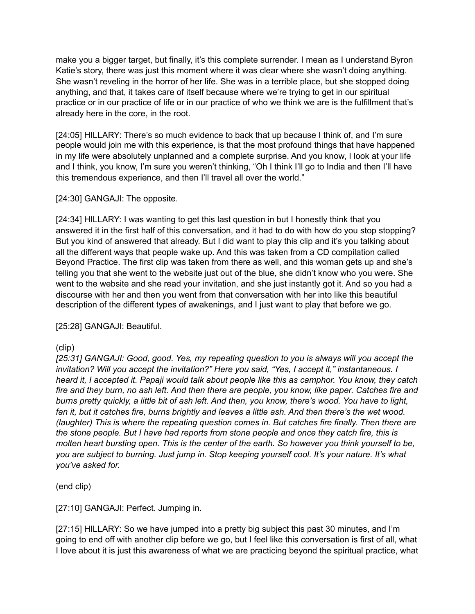make you a bigger target, but finally, it's this complete surrender. I mean as I understand Byron Katie's story, there was just this moment where it was clear where she wasn't doing anything. She wasn't reveling in the horror of her life. She was in a terrible place, but she stopped doing anything, and that, it takes care of itself because where we're trying to get in our spiritual practice or in our practice of life or in our practice of who we think we are is the fulfillment that's already here in the core, in the root.

[24:05] HILLARY: There's so much evidence to back that up because I think of, and I'm sure people would join me with this experience, is that the most profound things that have happened in my life were absolutely unplanned and a complete surprise. And you know, I look at your life and I think, you know, I'm sure you weren't thinking, "Oh I think I'll go to India and then I'll have this tremendous experience, and then I'll travel all over the world."

[24:30] GANGAJI: The opposite.

[24:34] HILLARY: I was wanting to get this last question in but I honestly think that you answered it in the first half of this conversation, and it had to do with how do you stop stopping? But you kind of answered that already. But I did want to play this clip and it's you talking about all the different ways that people wake up. And this was taken from a CD compilation called Beyond Practice. The first clip was taken from there as well, and this woman gets up and she's telling you that she went to the website just out of the blue, she didn't know who you were. She went to the website and she read your invitation, and she just instantly got it. And so you had a discourse with her and then you went from that conversation with her into like this beautiful description of the different types of awakenings, and I just want to play that before we go.

[25:28] GANGAJI: Beautiful.

(clip)

*[25:31] GANGAJI: Good, good. Yes, my repeating question to you is always will you accept the invitation? Will you accept the invitation?" Here you said, "Yes, I accept it," instantaneous. I heard it, I accepted it. Papaji would talk about people like this as camphor. You know, they catch fire and they burn, no ash left. And then there are people, you know, like paper. Catches fire and burns pretty quickly, a little bit of ash left. And then, you know, there's wood. You have to light, fan it, but it catches fire, burns brightly and leaves a little ash. And then there's the wet wood. (laughter) This is where the repeating question comes in. But catches fire finally. Then there are the stone people. But I have had reports from stone people and once they catch fire, this is molten heart bursting open. This is the center of the earth. So however you think yourself to be, you are subject to burning. Just jump in. Stop keeping yourself cool. It's your nature. It's what you've asked for.* 

(end clip)

[27:10] GANGAJI: Perfect. Jumping in.

[27:15] HILLARY: So we have jumped into a pretty big subject this past 30 minutes, and I'm going to end off with another clip before we go, but I feel like this conversation is first of all, what I love about it is just this awareness of what we are practicing beyond the spiritual practice, what